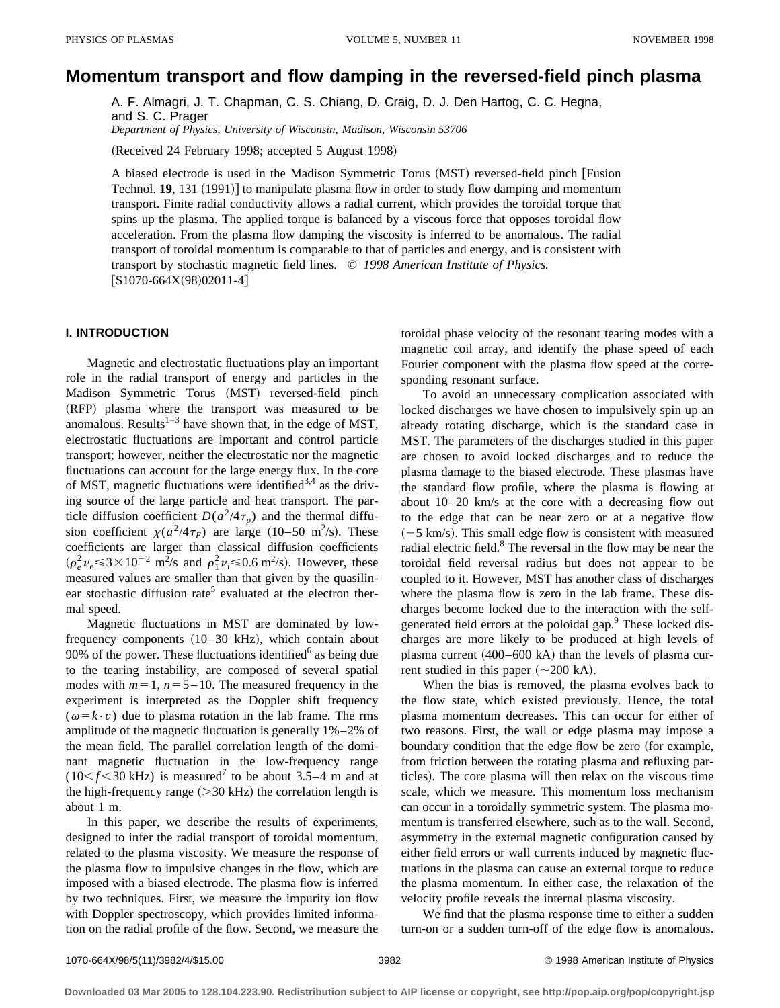# **Momentum transport and flow damping in the reversed-field pinch plasma**

A. F. Almagri, J. T. Chapman, C. S. Chiang, D. Craig, D. J. Den Hartog, C. C. Hegna, and S. C. Prager *Department of Physics, University of Wisconsin, Madison, Wisconsin 53706*

(Received 24 February 1998; accepted 5 August 1998)

A biased electrode is used in the Madison Symmetric Torus (MST) reversed-field pinch [Fusion Technol. **19**, 131 (1991)] to manipulate plasma flow in order to study flow damping and momentum transport. Finite radial conductivity allows a radial current, which provides the toroidal torque that spins up the plasma. The applied torque is balanced by a viscous force that opposes toroidal flow acceleration. From the plasma flow damping the viscosity is inferred to be anomalous. The radial transport of toroidal momentum is comparable to that of particles and energy, and is consistent with transport by stochastic magnetic field lines. © *1998 American Institute of Physics.*  $[S1070-664X(98)02011-4]$ 

#### **I. INTRODUCTION**

Magnetic and electrostatic fluctuations play an important role in the radial transport of energy and particles in the Madison Symmetric Torus (MST) reversed-field pinch (RFP) plasma where the transport was measured to be anomalous. Results $1-3$  have shown that, in the edge of MST, electrostatic fluctuations are important and control particle transport; however, neither the electrostatic nor the magnetic fluctuations can account for the large energy flux. In the core of MST, magnetic fluctuations were identified<sup>3,4</sup> as the driving source of the large particle and heat transport. The particle diffusion coefficient  $D(a^2/4\tau_p)$  and the thermal diffusion coefficient  $\chi(a^2/4\tau_E)$  are large (10–50 m<sup>2</sup>/s). These coefficients are larger than classical diffusion coefficients  $(\rho_e^2 \nu_e$  ≤ 3 × 10<sup>-2</sup> m<sup>2</sup>/s and  $\rho_1^2 \nu_i$  ≤ 0.6 m<sup>2</sup>/s). However, these measured values are smaller than that given by the quasilinear stochastic diffusion rate<sup>5</sup> evaluated at the electron thermal speed.

Magnetic fluctuations in MST are dominated by lowfrequency components  $(10-30 \text{ kHz})$ , which contain about 90% of the power. These fluctuations identified $6$  as being due to the tearing instability, are composed of several spatial modes with  $m=1$ ,  $n=5-10$ . The measured frequency in the experiment is interpreted as the Doppler shift frequency  $(\omega = k \cdot v)$  due to plasma rotation in the lab frame. The rms amplitude of the magnetic fluctuation is generally 1%–2% of the mean field. The parallel correlation length of the dominant magnetic fluctuation in the low-frequency range  $(10 < f < 30$  kHz) is measured<sup>7</sup> to be about 3.5–4 m and at the high-frequency range  $(>30 \text{ kHz})$  the correlation length is about 1 m.

In this paper, we describe the results of experiments, designed to infer the radial transport of toroidal momentum, related to the plasma viscosity. We measure the response of the plasma flow to impulsive changes in the flow, which are imposed with a biased electrode. The plasma flow is inferred by two techniques. First, we measure the impurity ion flow with Doppler spectroscopy, which provides limited information on the radial profile of the flow. Second, we measure the toroidal phase velocity of the resonant tearing modes with a magnetic coil array, and identify the phase speed of each Fourier component with the plasma flow speed at the corresponding resonant surface.

To avoid an unnecessary complication associated with locked discharges we have chosen to impulsively spin up an already rotating discharge, which is the standard case in MST. The parameters of the discharges studied in this paper are chosen to avoid locked discharges and to reduce the plasma damage to the biased electrode. These plasmas have the standard flow profile, where the plasma is flowing at about 10–20 km/s at the core with a decreasing flow out to the edge that can be near zero or at a negative flow  $(-5 \text{ km/s})$ . This small edge flow is consistent with measured radial electric field.<sup>8</sup> The reversal in the flow may be near the toroidal field reversal radius but does not appear to be coupled to it. However, MST has another class of discharges where the plasma flow is zero in the lab frame. These discharges become locked due to the interaction with the selfgenerated field errors at the poloidal gap.<sup>9</sup> These locked discharges are more likely to be produced at high levels of plasma current  $(400-600 \text{ kA})$  than the levels of plasma current studied in this paper  $(\sim 200 \text{ kA})$ .

When the bias is removed, the plasma evolves back to the flow state, which existed previously. Hence, the total plasma momentum decreases. This can occur for either of two reasons. First, the wall or edge plasma may impose a boundary condition that the edge flow be zero (for example, from friction between the rotating plasma and refluxing particles). The core plasma will then relax on the viscous time scale, which we measure. This momentum loss mechanism can occur in a toroidally symmetric system. The plasma momentum is transferred elsewhere, such as to the wall. Second, asymmetry in the external magnetic configuration caused by either field errors or wall currents induced by magnetic fluctuations in the plasma can cause an external torque to reduce the plasma momentum. In either case, the relaxation of the velocity profile reveals the internal plasma viscosity.

We find that the plasma response time to either a sudden turn-on or a sudden turn-off of the edge flow is anomalous.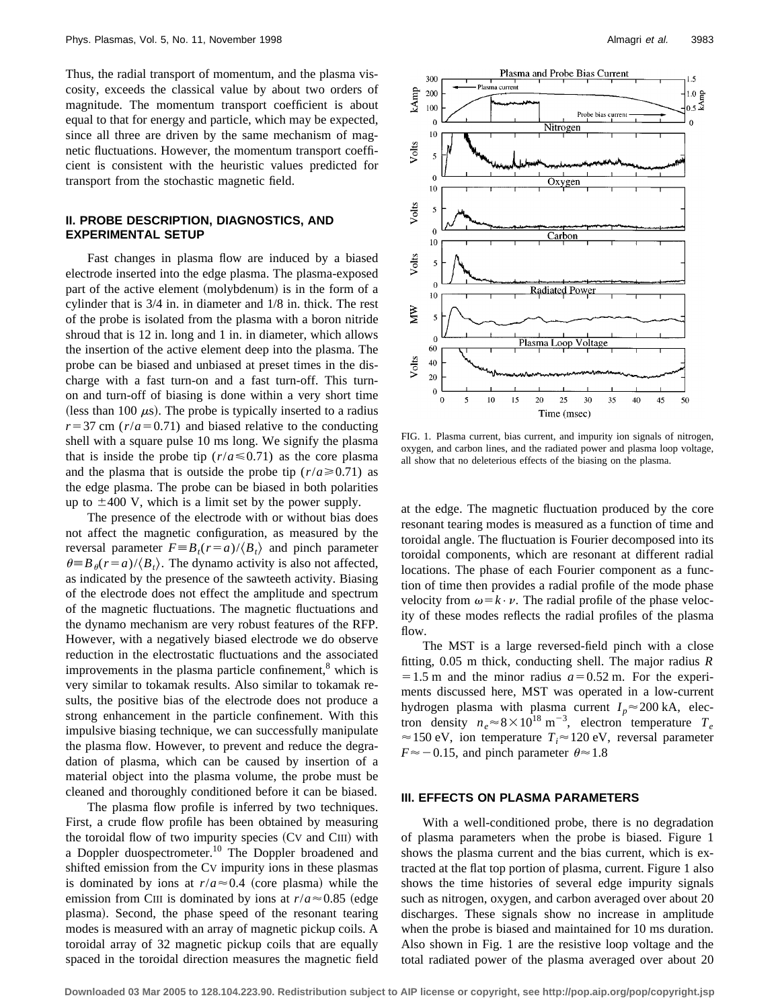Thus, the radial transport of momentum, and the plasma viscosity, exceeds the classical value by about two orders of magnitude. The momentum transport coefficient is about equal to that for energy and particle, which may be expected, since all three are driven by the same mechanism of magnetic fluctuations. However, the momentum transport coefficient is consistent with the heuristic values predicted for transport from the stochastic magnetic field.

#### **II. PROBE DESCRIPTION, DIAGNOSTICS, AND EXPERIMENTAL SETUP**

Fast changes in plasma flow are induced by a biased electrode inserted into the edge plasma. The plasma-exposed part of the active element (molybdenum) is in the form of a cylinder that is 3/4 in. in diameter and 1/8 in. thick. The rest of the probe is isolated from the plasma with a boron nitride shroud that is 12 in. long and 1 in. in diameter, which allows the insertion of the active element deep into the plasma. The probe can be biased and unbiased at preset times in the discharge with a fast turn-on and a fast turn-off. This turnon and turn-off of biasing is done within a very short time (less than 100  $\mu$ s). The probe is typically inserted to a radius  $r=37$  cm ( $r/a=0.71$ ) and biased relative to the conducting shell with a square pulse 10 ms long. We signify the plasma that is inside the probe tip  $(r/a \le 0.71)$  as the core plasma and the plasma that is outside the probe tip  $(r/a \ge 0.71)$  as the edge plasma. The probe can be biased in both polarities up to  $\pm 400$  V, which is a limit set by the power supply.

The presence of the electrode with or without bias does not affect the magnetic configuration, as measured by the reversal parameter  $F \equiv B_t(r=a)/\langle B_t \rangle$  and pinch parameter  $\theta \equiv B_{\theta}(r=a)/\langle B_{t} \rangle$ . The dynamo activity is also not affected, as indicated by the presence of the sawteeth activity. Biasing of the electrode does not effect the amplitude and spectrum of the magnetic fluctuations. The magnetic fluctuations and the dynamo mechanism are very robust features of the RFP. However, with a negatively biased electrode we do observe reduction in the electrostatic fluctuations and the associated improvements in the plasma particle confinement, $\delta$  which is very similar to tokamak results. Also similar to tokamak results, the positive bias of the electrode does not produce a strong enhancement in the particle confinement. With this impulsive biasing technique, we can successfully manipulate the plasma flow. However, to prevent and reduce the degradation of plasma, which can be caused by insertion of a material object into the plasma volume, the probe must be cleaned and thoroughly conditioned before it can be biased.

The plasma flow profile is inferred by two techniques. First, a crude flow profile has been obtained by measuring the toroidal flow of two impurity species  $(CV)$  and  $CIII$  with a Doppler duospectrometer.<sup>10</sup> The Doppler broadened and shifted emission from the CV impurity ions in these plasmas is dominated by ions at  $r/a \approx 0.4$  (core plasma) while the emission from CIII is dominated by ions at  $r/a \approx 0.85$  (edge plasma). Second, the phase speed of the resonant tearing modes is measured with an array of magnetic pickup coils. A toroidal array of 32 magnetic pickup coils that are equally spaced in the toroidal direction measures the magnetic field



FIG. 1. Plasma current, bias current, and impurity ion signals of nitrogen, oxygen, and carbon lines, and the radiated power and plasma loop voltage, all show that no deleterious effects of the biasing on the plasma.

at the edge. The magnetic fluctuation produced by the core resonant tearing modes is measured as a function of time and toroidal angle. The fluctuation is Fourier decomposed into its toroidal components, which are resonant at different radial locations. The phase of each Fourier component as a function of time then provides a radial profile of the mode phase velocity from  $\omega = k \cdot \nu$ . The radial profile of the phase velocity of these modes reflects the radial profiles of the plasma flow.

The MST is a large reversed-field pinch with a close fitting, 0.05 m thick, conducting shell. The major radius *R*  $=1.5$  m and the minor radius  $a=0.52$  m. For the experiments discussed here, MST was operated in a low-current hydrogen plasma with plasma current  $I_p \approx 200$  kA, electron density  $n_e \approx 8 \times 10^{18} \text{ m}^{-3}$ , electron temperature  $T_e$  $\approx$  150 eV, ion temperature  $T_i \approx$  120 eV, reversal parameter  $F \approx -0.15$ , and pinch parameter  $\theta \approx 1.8$ 

# **III. EFFECTS ON PLASMA PARAMETERS**

With a well-conditioned probe, there is no degradation of plasma parameters when the probe is biased. Figure 1 shows the plasma current and the bias current, which is extracted at the flat top portion of plasma, current. Figure 1 also shows the time histories of several edge impurity signals such as nitrogen, oxygen, and carbon averaged over about 20 discharges. These signals show no increase in amplitude when the probe is biased and maintained for 10 ms duration. Also shown in Fig. 1 are the resistive loop voltage and the total radiated power of the plasma averaged over about 20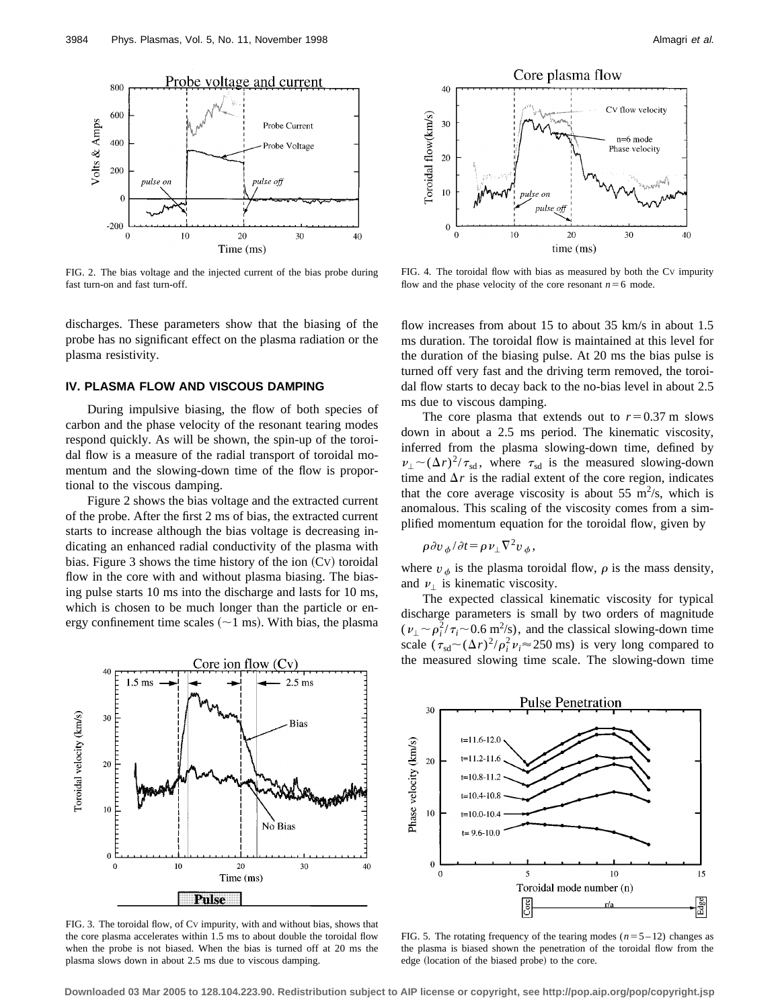

FIG. 2. The bias voltage and the injected current of the bias probe during fast turn-on and fast turn-off.

discharges. These parameters show that the biasing of the probe has no significant effect on the plasma radiation or the plasma resistivity.

#### **IV. PLASMA FLOW AND VISCOUS DAMPING**

During impulsive biasing, the flow of both species of carbon and the phase velocity of the resonant tearing modes respond quickly. As will be shown, the spin-up of the toroidal flow is a measure of the radial transport of toroidal momentum and the slowing-down time of the flow is proportional to the viscous damping.

Figure 2 shows the bias voltage and the extracted current of the probe. After the first 2 ms of bias, the extracted current starts to increase although the bias voltage is decreasing indicating an enhanced radial conductivity of the plasma with bias. Figure 3 shows the time history of the ion  $(Cv)$  toroidal flow in the core with and without plasma biasing. The biasing pulse starts 10 ms into the discharge and lasts for 10 ms, which is chosen to be much longer than the particle or energy confinement time scales  $(\sim 1 \text{ ms})$ . With bias, the plasma



FIG. 3. The toroidal flow, of CV impurity, with and without bias, shows that the core plasma accelerates within 1.5 ms to about double the toroidal flow when the probe is not biased. When the bias is turned off at 20 ms the plasma slows down in about 2.5 ms due to viscous damping.



FIG. 4. The toroidal flow with bias as measured by both the CV impurity flow and the phase velocity of the core resonant  $n=6$  mode.

flow increases from about 15 to about 35 km/s in about 1.5 ms duration. The toroidal flow is maintained at this level for the duration of the biasing pulse. At 20 ms the bias pulse is turned off very fast and the driving term removed, the toroidal flow starts to decay back to the no-bias level in about 2.5 ms due to viscous damping.

The core plasma that extends out to  $r=0.37$  m slows down in about a 2.5 ms period. The kinematic viscosity, inferred from the plasma slowing-down time, defined by  $\nu_{\perp} \sim (\Delta r)^2 / \tau_{\rm sd}$ , where  $\tau_{\rm sd}$  is the measured slowing-down time and  $\Delta r$  is the radial extent of the core region, indicates that the core average viscosity is about 55  $\text{m}^2\text{/s}$ , which is anomalous. This scaling of the viscosity comes from a simplified momentum equation for the toroidal flow, given by

$$
\rho \partial v_{\phi}/\partial t = \rho v_{\perp} \nabla^2 v_{\phi},
$$

where  $v_{\phi}$  is the plasma toroidal flow,  $\rho$  is the mass density, and  $\nu_{\perp}$  is kinematic viscosity.

The expected classical kinematic viscosity for typical discharge parameters is small by two orders of magnitude  $(\nu_{\perp} \sim \rho_i^2/\tau_i \sim 0.6 \text{ m}^2/\text{s})$ , and the classical slowing-down time scale  $(\tau_{sd} \sim (\Delta r)^2/\rho_i^2 \nu_i \approx 250 \text{ ms})$  is very long compared to the measured slowing time scale. The slowing-down time



FIG. 5. The rotating frequency of the tearing modes  $(n=5-12)$  changes as the plasma is biased shown the penetration of the toroidal flow from the edge (location of the biased probe) to the core.

**Downloaded 03 Mar 2005 to 128.104.223.90. Redistribution subject to AIP license or copyright, see http://pop.aip.org/pop/copyright.jsp**